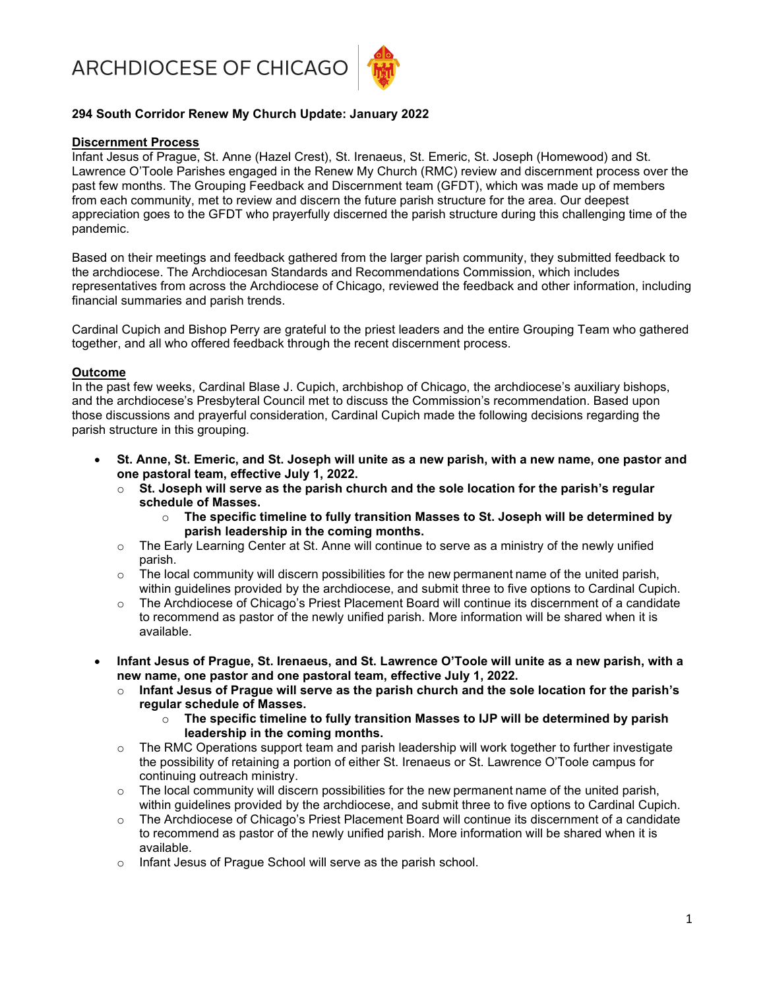ARCHDIOCESE OF CHICAGO



## 294 South Corridor Renew My Church Update: January 2022

### Discernment Process

Infant Jesus of Prague, St. Anne (Hazel Crest), St. Irenaeus, St. Emeric, St. Joseph (Homewood) and St. Lawrence O'Toole Parishes engaged in the Renew My Church (RMC) review and discernment process over the past few months. The Grouping Feedback and Discernment team (GFDT), which was made up of members from each community, met to review and discern the future parish structure for the area. Our deepest appreciation goes to the GFDT who prayerfully discerned the parish structure during this challenging time of the pandemic.

Based on their meetings and feedback gathered from the larger parish community, they submitted feedback to the archdiocese. The Archdiocesan Standards and Recommendations Commission, which includes representatives from across the Archdiocese of Chicago, reviewed the feedback and other information, including financial summaries and parish trends.

Cardinal Cupich and Bishop Perry are grateful to the priest leaders and the entire Grouping Team who gathered together, and all who offered feedback through the recent discernment process.

#### Outcome

In the past few weeks, Cardinal Blase J. Cupich, archbishop of Chicago, the archdiocese's auxiliary bishops, and the archdiocese's Presbyteral Council met to discuss the Commission's recommendation. Based upon those discussions and prayerful consideration, Cardinal Cupich made the following decisions regarding the parish structure in this grouping.

- St. Anne, St. Emeric, and St. Joseph will unite as a new parish, with a new name, one pastor and one pastoral team, effective July 1, 2022.
	- $\circ$  St. Joseph will serve as the parish church and the sole location for the parish's regular schedule of Masses.
		- $\circ$  The specific timeline to fully transition Masses to St. Joseph will be determined by parish leadership in the coming months.
	- $\circ$  The Early Learning Center at St. Anne will continue to serve as a ministry of the newly unified parish.
	- o The local community will discern possibilities for the new permanent name of the united parish, within guidelines provided by the archdiocese, and submit three to five options to Cardinal Cupich.
	- $\circ$  The Archdiocese of Chicago's Priest Placement Board will continue its discernment of a candidate to recommend as pastor of the newly unified parish. More information will be shared when it is available.
- Infant Jesus of Prague, St. Irenaeus, and St. Lawrence O'Toole will unite as a new parish, with a new name, one pastor and one pastoral team, effective July 1, 2022.
	- $\circ$  Infant Jesus of Prague will serve as the parish church and the sole location for the parish's regular schedule of Masses.
		- $\circ$  The specific timeline to fully transition Masses to IJP will be determined by parish leadership in the coming months.
	- $\circ$  The RMC Operations support team and parish leadership will work together to further investigate the possibility of retaining a portion of either St. Irenaeus or St. Lawrence O'Toole campus for continuing outreach ministry.
	- $\circ$  The local community will discern possibilities for the new permanent name of the united parish, within guidelines provided by the archdiocese, and submit three to five options to Cardinal Cupich.
	- $\circ$  The Archdiocese of Chicago's Priest Placement Board will continue its discernment of a candidate to recommend as pastor of the newly unified parish. More information will be shared when it is available.
	- o Infant Jesus of Prague School will serve as the parish school.